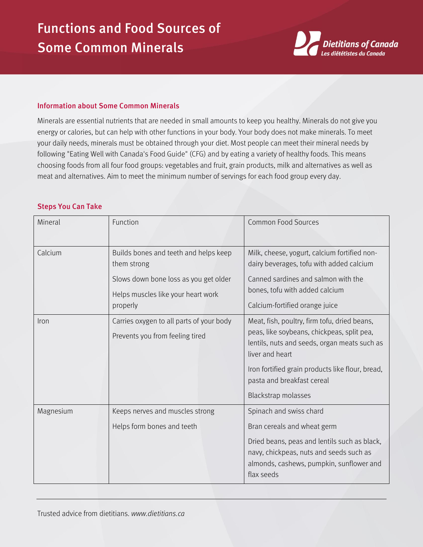# Functions and Food Sources of Some Common Minerals



#### Information about Some Common Minerals

Minerals are essential nutrients that are needed in small amounts to keep you healthy. Minerals do not give you energy or calories, but can help with other functions in your body. Your body does not make minerals. To meet your daily needs, minerals must be obtained through your diet. Most people can meet their mineral needs by following "Eating Well with Canada's Food Guide" (CFG) and by eating a variety of healthy foods. This means choosing foods from all four food groups: vegetables and fruit, grain products, milk and alternatives as well as meat and alternatives. Aim to meet the minimum number of servings for each food group every day.

### Steps You Can Take

| Mineral      | Function                                                                                                                                        | <b>Common Food Sources</b>                                                                                                                                                                                                                                             |
|--------------|-------------------------------------------------------------------------------------------------------------------------------------------------|------------------------------------------------------------------------------------------------------------------------------------------------------------------------------------------------------------------------------------------------------------------------|
| Calcium      | Builds bones and teeth and helps keep<br>them strong<br>Slows down bone loss as you get older<br>Helps muscles like your heart work<br>properly | Milk, cheese, yogurt, calcium fortified non-<br>dairy beverages, tofu with added calcium<br>Canned sardines and salmon with the<br>bones, tofu with added calcium<br>Calcium-fortified orange juice                                                                    |
| <i>I</i> ron | Carries oxygen to all parts of your body<br>Prevents you from feeling tired                                                                     | Meat, fish, poultry, firm tofu, dried beans,<br>peas, like soybeans, chickpeas, split pea,<br>lentils, nuts and seeds, organ meats such as<br>liver and heart<br>Iron fortified grain products like flour, bread,<br>pasta and breakfast cereal<br>Blackstrap molasses |
| Magnesium    | Keeps nerves and muscles strong<br>Helps form bones and teeth                                                                                   | Spinach and swiss chard<br>Bran cereals and wheat germ<br>Dried beans, peas and lentils such as black,<br>navy, chickpeas, nuts and seeds such as<br>almonds, cashews, pumpkin, sunflower and<br>flax seeds                                                            |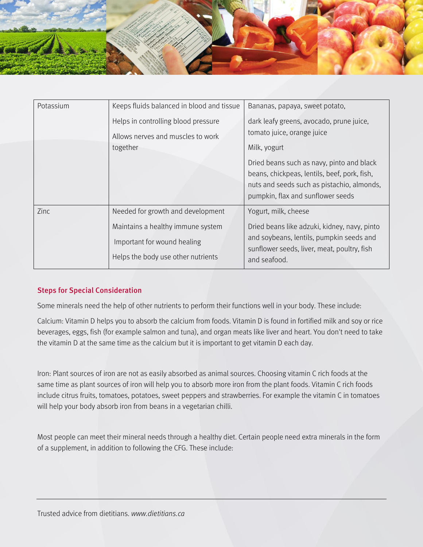

| Potassium | Keeps fluids balanced in blood and tissue                                                                                                   | Bananas, papaya, sweet potato,                                                                                                                                                                                                                                         |
|-----------|---------------------------------------------------------------------------------------------------------------------------------------------|------------------------------------------------------------------------------------------------------------------------------------------------------------------------------------------------------------------------------------------------------------------------|
|           | Helps in controlling blood pressure<br>Allows nerves and muscles to work<br>together                                                        | dark leafy greens, avocado, prune juice,<br>tomato juice, orange juice<br>Milk, yogurt<br>Dried beans such as navy, pinto and black<br>beans, chickpeas, lentils, beef, pork, fish,<br>nuts and seeds such as pistachio, almonds,<br>pumpkin, flax and sunflower seeds |
| Zinc      | Needed for growth and development<br>Maintains a healthy immune system<br>Important for wound healing<br>Helps the body use other nutrients | Yogurt, milk, cheese<br>Dried beans like adzuki, kidney, navy, pinto<br>and soybeans, lentils, pumpkin seeds and<br>sunflower seeds, liver, meat, poultry, fish<br>and seafood.                                                                                        |

## Steps for Special Consideration

Some minerals need the help of other nutrients to perform their functions well in your body. These include:

Calcium: Vitamin D helps you to absorb the calcium from foods. Vitamin D is found in fortified milk and soy or rice beverages, eggs, fish (for example salmon and tuna), and organ meats like liver and heart. You don't need to take the vitamin D at the same time as the calcium but it is important to get vitamin D each day.

Iron: Plant sources of iron are not as easily absorbed as animal sources. Choosing vitamin C rich foods at the same time as plant sources of iron will help you to absorb more iron from the plant foods. Vitamin C rich foods include citrus fruits, tomatoes, potatoes, sweet peppers and strawberries. For example the vitamin C in tomatoes will help your body absorb iron from beans in a vegetarian chilli.

Most people can meet their mineral needs through a healthy diet. Certain people need extra minerals in the form of a supplement, in addition to following the CFG. These include: